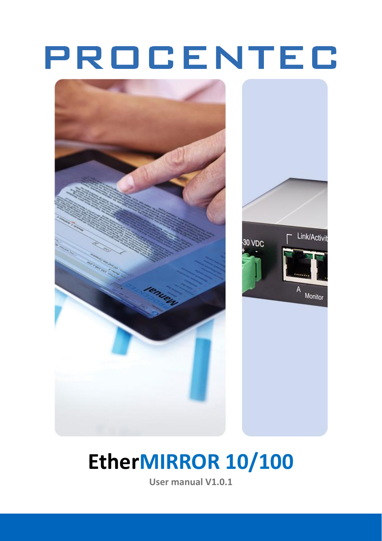# PROCENTEC



# **EtherMIRROR 10/100**

**User manual V1.0.1**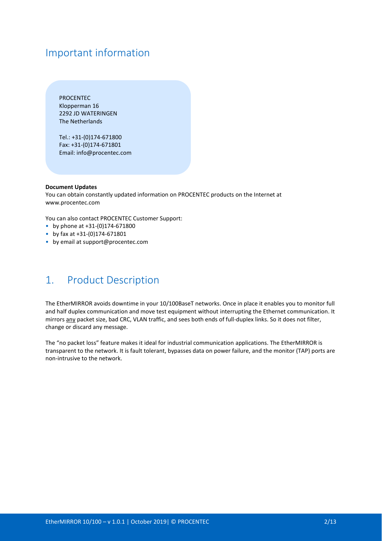## Important information

PROCENTEC Klopperman 16 2292 JD WATERINGEN The Netherlands

Tel.: +31-(0)174-671800 Fax: +31-(0)174-671801 Email: info@procentec.com

#### **Document Updates**

You can obtain constantly updated information on PROCENTEC products on the Internet at www.procentec.com

You can also contact PROCENTEC Customer Support:

- by phone at +31-(0)174-671800
- by fax at +31-(0)174-671801
- by email at support@procentec.com

## 1. Product Description

The EtherMIRROR avoids downtime in your 10/100BaseT networks. Once in place it enables you to monitor full and half duplex communication and move test equipment without interrupting the Ethernet communication. It mirrors any packet size, bad CRC, VLAN traffic, and sees both ends of full-duplex links. So it does not filter, change or discard any message.

The "no packet loss" feature makes it ideal for industrial communication applications. The EtherMIRROR is transparent to the network. It is fault tolerant, bypasses data on power failure, and the monitor (TAP) ports are non-intrusive to the network.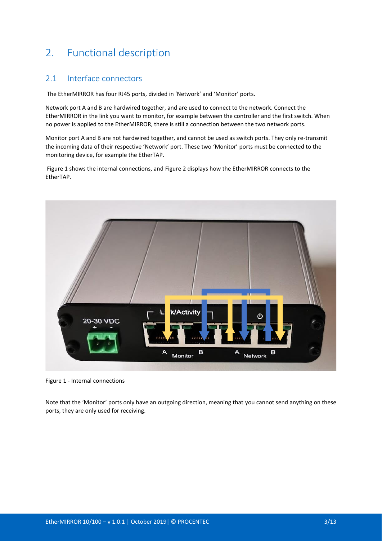# 2. Functional description

### 2.1 Interface connectors

The EtherMIRROR has four RJ45 ports, divided in 'Network' and 'Monitor' ports.

Network port A and B are hardwired together, and are used to connect to the network. Connect the EtherMIRROR in the link you want to monitor, for example between the controller and the first switch. When no power is applied to the EtherMIRROR, there is still a connection between the two network ports.

Monitor port A and B are not hardwired together, and cannot be used as switch ports. They only re-transmit the incoming data of their respective 'Network' port. These two 'Monitor' ports must be connected to the monitoring device, for example the EtherTAP.

[Figure 1](#page-2-0) shows the internal connections, and [Figure 2](#page-3-0) displays how the EtherMIRROR connects to the EtherTAP.



Figure 1 - Internal connections

<span id="page-2-0"></span>Note that the 'Monitor' ports only have an outgoing direction, meaning that you cannot send anything on these ports, they are only used for receiving.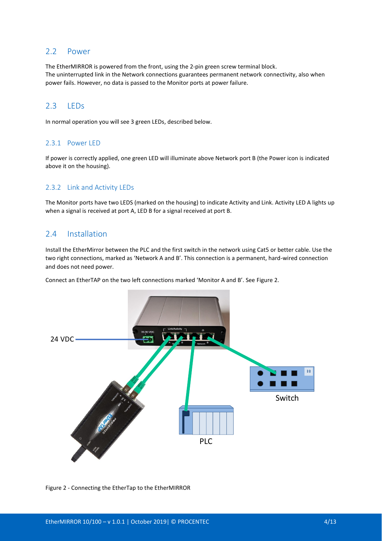#### 2.2 Power

The EtherMIRROR is powered from the front, using the 2-pin green screw terminal block. The uninterrupted link in the Network connections guarantees permanent network connectivity, also when power fails. However, no data is passed to the Monitor ports at power failure.

### 2.3 LEDs

In normal operation you will see 3 green LEDs, described below.

#### 2.3.1 Power LED

If power is correctly applied, one green LED will illuminate above Network port B (the Power icon is indicated above it on the housing).

#### 2.3.2 Link and Activity LEDs

The Monitor ports have two LEDS (marked on the housing) to indicate Activity and Link. Activity LED A lights up when a signal is received at port A, LED B for a signal received at port B.

#### 2.4 Installation

Install the EtherMirror between the PLC and the first switch in the network using Cat5 or better cable. Use the two right connections, marked as 'Network A and B'. This connection is a permanent, hard-wired connection and does not need power.

Connect an EtherTAP on the two left connections marked 'Monitor A and B'. See [Figure 2.](#page-3-0)



<span id="page-3-0"></span>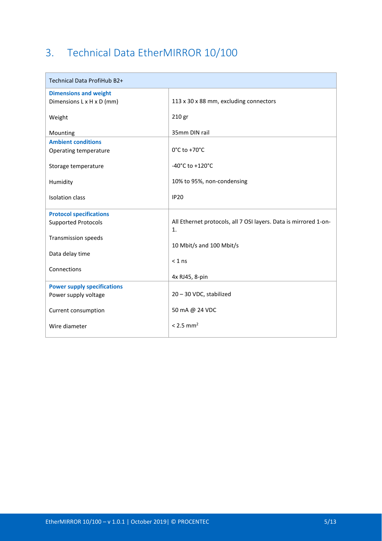# 3. Technical Data EtherMIRROR 10/100

| Technical Data ProfiHub B2+        |                                                                                    |
|------------------------------------|------------------------------------------------------------------------------------|
| <b>Dimensions and weight</b>       |                                                                                    |
| Dimensions L x H x D (mm)          | 113 x 30 x 88 mm, excluding connectors                                             |
| Weight                             | 210 gr                                                                             |
| Mounting                           | 35mm DIN rail                                                                      |
| <b>Ambient conditions</b>          |                                                                                    |
| Operating temperature              | $0^{\circ}$ C to +70 $^{\circ}$ C                                                  |
| Storage temperature                | $-40^{\circ}$ C to $+120^{\circ}$ C                                                |
| Humidity                           | 10% to 95%, non-condensing                                                         |
| <b>Isolation class</b>             | <b>IP20</b>                                                                        |
| <b>Protocol specifications</b>     |                                                                                    |
| <b>Supported Protocols</b>         | All Ethernet protocols, all 7 OSI layers. Data is mirrored 1-on-<br>$\mathbf{1}$ . |
| <b>Transmission speeds</b>         |                                                                                    |
|                                    | 10 Mbit/s and 100 Mbit/s                                                           |
| Data delay time                    | $< 1$ ns                                                                           |
| Connections                        |                                                                                    |
|                                    | 4x RJ45, 8-pin                                                                     |
| <b>Power supply specifications</b> |                                                                                    |
| Power supply voltage               | 20 - 30 VDC, stabilized                                                            |
| Current consumption                | 50 mA @ 24 VDC                                                                     |
| Wire diameter                      | $< 2.5$ mm <sup>2</sup>                                                            |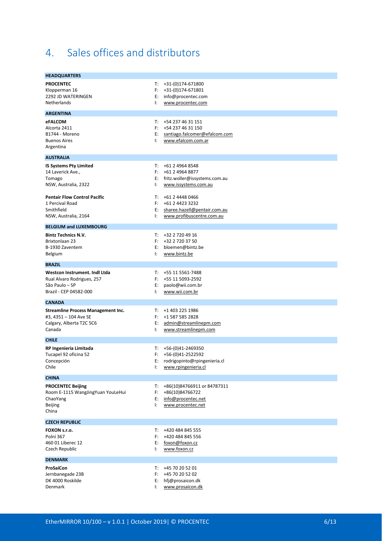# 4. Sales offices and distributors

| <b>HEADQUARTERS</b>                                                                                      |                      |                                                                                                    |
|----------------------------------------------------------------------------------------------------------|----------------------|----------------------------------------------------------------------------------------------------|
| <b>PROCENTEC</b><br>Klopperman 16<br>2292 JD WATERINGEN<br>Netherlands                                   | T:<br>F:<br>E:<br>Ŀ. | +31-(0)174-671800<br>+31-(0)174-671801<br>info@procentec.com<br>www.procentec.com                  |
| <b>ARGENTINA</b>                                                                                         |                      |                                                                                                    |
| <b>eFALCOM</b><br>Alcorta 2411<br>B1744 - Moreno<br><b>Buenos Aires</b><br>Argentina                     | T:<br>E:<br>Ŀ.       | +54 237 46 31 151<br>$F: +542374631150$<br>santiago.falcomer@efalcom.com<br>www.efalcom.com.ar     |
| <b>AUSTRALIA</b>                                                                                         |                      |                                                                                                    |
| <b>IS Systems Pty Limited</b><br>14 Laverick Ave.,<br>Tomago<br>NSW, Australia, 2322                     | T:<br>F:<br>Ŀ.       | +61 2 4964 8548<br>+61 2 4964 8877<br>E: fritz.woller@issystems.com.au<br>www.issystems.com.au     |
| <b>Pentair Flow Control Pacific</b><br>1 Percival Road<br>Smithfield<br>NSW, Australia, 2164             | T:<br>E:<br>Ŀ.       | +61 2 4448 0466<br>$F: +6124423322$<br>sharee.hazell@pentair.com.au<br>www.profibuscentre.com.au   |
| <b>BELGIUM and LUXEMBOURG</b>                                                                            |                      |                                                                                                    |
| <b>Bintz Technics N.V.</b><br><b>Brixtonlaan 23</b><br>B-1930 Zaventem<br>Belgium                        | T:<br>E:<br>Ŀ.       | +32 2 720 49 16<br>$F: +3227203750$<br>bloemen@bintz.be<br>www.bintz.be                            |
| <b>BRAZIL</b>                                                                                            |                      |                                                                                                    |
| Westcon Instrument. Indl Ltda<br>Rual Alvaro Rodrigues, 257<br>São Paulo – SP<br>Brazil - CEP 04582-000  | T:<br>F:<br>E:<br>Ŀ. | +55 11 5561-7488<br>+55 11 5093-2592<br>paolo@wii.com.br<br>www.wii.com.br                         |
| <b>CANADA</b>                                                                                            |                      |                                                                                                    |
| <b>Streamline Process Management Inc.</b><br>#3, 4351 - 104 Ave SE<br>Calgary, Alberta T2C 5C6<br>Canada | T:<br>F:<br>E:<br>Ŀ. | +1 403 225 1986<br>+1 587 585 2828<br>admin@streamlinepm.com<br>www.streamlinepm.com               |
| <b>CHILE</b>                                                                                             |                      |                                                                                                    |
| RP Ingenieria Limitada<br>Tucapel 92 oficina 52<br>Concepción<br>Chile                                   | T:<br>E:<br>Ŀ.       | +56-(0)41-2469350<br>$F: +56-(0)41-2522592$<br>rodrigopinto@rpingenieria.cl<br>www.rpingenieria.cl |
| <b>CHINA</b>                                                                                             |                      |                                                                                                    |
| <b>PROCENTEC Beijing</b><br>Room E-1115 WangJingYuan YouLeHui<br>ChaoYang<br>Beijing<br>China            | T:<br>F:<br>E:<br>Ŀ. | +86(10)84766911 or 84787311<br>+86(10)84766722<br>info@procentec.net<br>www.procentec.net          |
| <b>CZECH REPUBLIC</b>                                                                                    |                      |                                                                                                    |
| FOXON s.r.o.<br>Polní 367<br>460 01 Liberec 12<br>Czech Republic                                         | T:<br>F:<br>E:<br>Ŀ. | +420 484 845 555<br>+420 484 845 556<br>foxon@foxon.cz<br>www.foxon.cz                             |
| <b>DENMARK</b>                                                                                           |                      |                                                                                                    |
| <b>ProSaiCon</b><br>Jernbanegade 23B<br>DK 4000 Roskilde<br>Denmark                                      | T:<br>F:<br>E:<br>Ŀ. | +45 70 20 52 01<br>+45 70 20 52 02<br>hfj@prosaicon.dk<br>www.prosaicon.dk                         |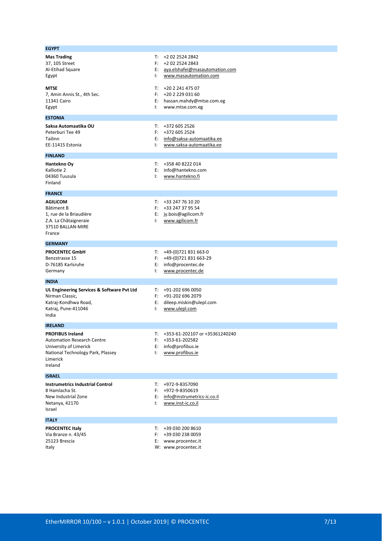| <b>EGYPT</b>                                                                                                                                       |                      |                                                                                                  |
|----------------------------------------------------------------------------------------------------------------------------------------------------|----------------------|--------------------------------------------------------------------------------------------------|
| <b>Mas Trading</b><br>37, 105 Street<br>Al-Etihad Square<br>Egypt                                                                                  | T:<br>F:<br>Ŀ.       | +2 02 2524 2842<br>+2 02 2524 2843<br>E: aya.elshafei@masautomation.com<br>www.masautomation.com |
| MTSE<br>7, Amin Annis St., 4th Sec.<br>11341 Cairo<br>Egypt                                                                                        | Ŀ.                   | $T: +20224147507$<br>$F: +20222903160$<br>E: hassan.mahdy@mtse.com.eg<br>www.mtse.com.eg         |
| <b>ESTONIA</b>                                                                                                                                     |                      |                                                                                                  |
| Saksa Automaatika OU<br>Peterburi Tee 49<br>Tailinn<br>EE-11415 Estonia                                                                            | т:<br>Ŀ.             | +372 605 2526<br>$F: +3726052524$<br>E: info@saksa-automaatika.ee<br>www.saksa-automaatika.ee    |
| <b>FINLAND</b>                                                                                                                                     |                      |                                                                                                  |
| Hantekno Oy<br>Kalliotie 2<br>04360 Tuusula<br>Finland                                                                                             | T:<br>Е:<br>Ŀ.       | +358 40 8222 014<br>info@hantekno.com<br>www.hantekno.fi                                         |
| <b>FRANCE</b>                                                                                                                                      |                      |                                                                                                  |
| AGILICOM<br>Bâtiment B<br>1, rue de la Briaudière<br>Z.A. La Châtaigneraie<br>37510 BALLAN-MIRE<br>France                                          | T:<br>Ŀ.             | +33 247 76 10 20<br>$F: +33247379554$<br>E: jy.bois@agilicom.fr<br>www.agilicom.fr               |
| <b>GERMANY</b>                                                                                                                                     |                      |                                                                                                  |
| <b>PROCENTEC GmbH</b><br>Benzstrasse 15<br>D-76185 Karlsruhe<br>Germany                                                                            | Е:<br>Ŀ.             | $T: +49-(0)721831663-0$<br>F: +49-(0)721 831 663-29<br>info@procentec.de<br>www.procentec.de     |
| <b>INDIA</b>                                                                                                                                       |                      |                                                                                                  |
| UL Engineering Services & Software Pvt Ltd<br>Nirman Classic,<br>Katraj-Kondhwa Road,<br>Katraj, Pune-411046<br>India                              | E:<br>ŀ.             | $T: +91-2026960050$<br>$F: +91-2026962079$<br>dileep.miskin@ulepl.com<br>www.ulepl.com           |
| <b>IRELAND</b>                                                                                                                                     |                      |                                                                                                  |
| <b>PROFIBUS Ireland</b><br><b>Automation Research Centre</b><br>University of Limerick<br>National Technology Park, Plassey<br>Limerick<br>Ireland | T:<br>F:<br>E:<br>Ŀ. | +353-61-202107 or +35361240240<br>+353-61-202582<br>info@profibus.ie<br>www.profibus.ie          |
| <b>ISRAEL</b>                                                                                                                                      |                      |                                                                                                  |
| <b>Instrumetrics Industrial Control</b><br>8 Hamlacha St.<br>New Industrial Zone<br>Netanya, 42170<br>Israel                                       | T:<br>F:<br>E:<br>Ŀ. | +972-9-8357090<br>+972-9-8350619<br>info@instrumetrics-ic.co.il<br>www.inst-ic.co.il             |
| <b>ITALY</b>                                                                                                                                       |                      |                                                                                                  |
| <b>PROCENTEC Italy</b><br>Via Branze n. 43/45<br>25123 Brescia<br>Italy                                                                            | T:<br>F:<br>E:       | +39 030 200 8610<br>+39 030 238 0059<br>www.procentec.it<br>W: www.procentec.it                  |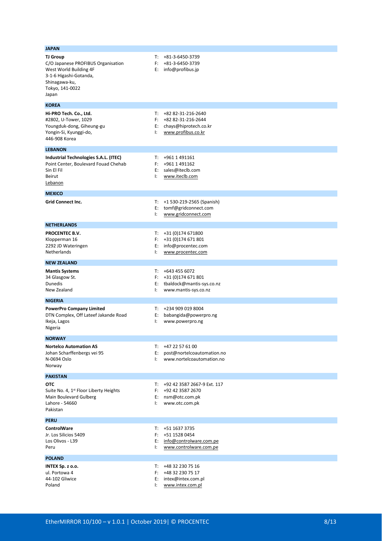| JAPAN                                                                                                                                                  |                      |                                                                                          |
|--------------------------------------------------------------------------------------------------------------------------------------------------------|----------------------|------------------------------------------------------------------------------------------|
| <b>TJ Group</b><br>C/O Japanese PROFIBUS Organisation<br>West World Building 4F<br>3-1-6 Higashi-Gotanda,<br>Shinagawa-ku,<br>Tokyo, 141-0022<br>Japan | т:<br>F:<br>Е:       | +81-3-6450-3739<br>+81-3-6450-3739<br>info@profibus.jp                                   |
| <b>KOREA</b>                                                                                                                                           |                      |                                                                                          |
| Hi-PRO Tech. Co., Ltd.<br>#2802, U-Tower, 1029<br>Youngduk-dong, Giheung-gu<br>Yongin-Si, Kyunggi-do,<br>446-908 Korea                                 | T:<br>F:<br>E:<br>Ŀ. | +82 82-31-216-2640<br>+82 82-31-216-2644<br>chays@hiprotech.co.kr<br>www.profibus.co.kr  |
| <b>LEBANON</b>                                                                                                                                         |                      |                                                                                          |
| Industrial Technologies S.A.L. (ITEC)<br>Point Center, Boulevard Fouad Chehab<br>Sin El Fil<br>Beirut<br><u>Lebanon</u>                                | T:<br>F:<br>E:<br>Ŀ. | +961 1 491161<br>+961 1 491162<br>sales@iteclb.com<br>www.iteclb.com                     |
| <b>MEXICO</b>                                                                                                                                          |                      |                                                                                          |
| <b>Grid Connect Inc.</b>                                                                                                                               | T:<br>E:<br>ŀ.       | +1 530-219-2565 (Spanish)<br>tomf@gridconnect.com<br>www.gridconnect.com                 |
| <b>NETHERLANDS</b>                                                                                                                                     |                      |                                                                                          |
| PROCENTEC B.V.<br>Klopperman 16<br>2292 JD Wateringen<br>Netherlands                                                                                   | T:<br>F:<br>E:<br>Ŀ. | +31 (0)174 671800<br>+31 (0)174 671 801<br>info@procentec.com<br>www.procentec.com       |
| <b>NEW ZEALAND</b>                                                                                                                                     |                      |                                                                                          |
| <b>Mantis Systems</b><br>34 Glasgow St.<br>Dunedis<br>New Zealand                                                                                      | T:<br>F:<br>E:<br>Ŀ. | +643 455 6072<br>+31 (0)174 671 801<br>tbaldock@mantis-sys.co.nz<br>www.mantis-sys.co.nz |
| <b>NIGERIA</b>                                                                                                                                         |                      |                                                                                          |
| <b>PowerPro Company Limited</b><br>DTN Complex, Off Lateef Jakande Road<br>Ikeja, Lagos<br>Nigeria                                                     | T:<br>E:<br>Ŀ.       | +234 909 019 8004<br>babangida@powerpro.ng<br>www.powerpro.ng                            |
| <b>NORWAY</b>                                                                                                                                          |                      |                                                                                          |
| <b>Nortelco Automation AS</b><br>Johan Scharffenbergs vei 95<br>N-0694 Oslo<br>Norway                                                                  | T:<br>E:<br>Ŀ.       | +47 22 57 61 00<br>post@nortelcoautomation.no<br>www.nortelcoautomation.no               |
| <b>PAKISTAN</b>                                                                                                                                        |                      |                                                                                          |
| <b>OTC</b><br>Suite No. 4, 1 <sup>st</sup> Floor Liberty Heights<br>Main Boulevard Gulberg<br>Lahore - 54660<br>Pakistan                               | T:<br>F:<br>Ŀ.       | +92 42 3587 2667-9 Ext. 117<br>+92 42 3587 2670<br>E: nsm@otc.com.pk<br>www.otc.com.pk   |
| <b>PERU</b>                                                                                                                                            |                      |                                                                                          |
| <b>ControlWare</b><br>Jr. Los Silicios 5409<br>Los Olivos - L39<br>Peru                                                                                | T:<br>F:<br>E:<br>Ŀ. | +51 1637 3735<br>+51 1528 0454<br>info@controlware.com.pe<br>www.controlware.com.pe      |
| <b>POLAND</b>                                                                                                                                          |                      |                                                                                          |
| INTEX Sp. z o.o.<br>ul. Portowa 4<br>44-102 Gliwice<br>Poland                                                                                          | T:<br>F:<br>E:<br>Ŀ. | +48 32 230 75 16<br>+48 32 230 75 17<br>intex@intex.com.pl<br>www.intex.com.pl           |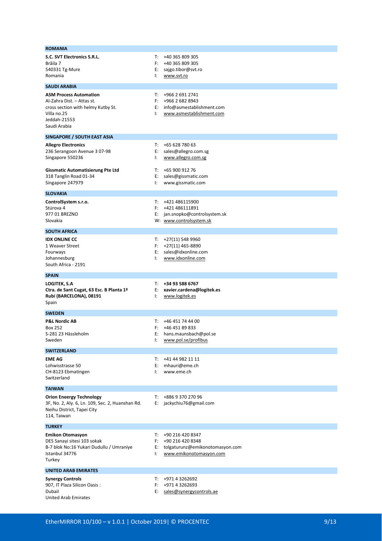| S.C. SVT Electronics S.R.L.                               | T:       | +40 365 809 305                                           |
|-----------------------------------------------------------|----------|-----------------------------------------------------------|
| Brăila 7<br>540331 Tg-Mure                                | F:       | +40 365 809 305<br>E: sajgo.tibor@svt.ro                  |
| Romania                                                   | Ŀ.       | www.svt.ro                                                |
| <b>SAUDI ARABIA</b>                                       |          |                                                           |
| <b>ASM Process Automation</b>                             | T:       | +966 2 691 2741                                           |
| Al-Zahra Dist. - Attas st.                                | F:       | +966 2 682 8943                                           |
| cross section with helmy Kutby St.                        |          | E: info@asmestablishment.com                              |
| Villa no.25                                               | Ŀ.       | www.asmestablishment.com                                  |
| Jeddah-21553<br>Saudi Arabia                              |          |                                                           |
|                                                           |          |                                                           |
| SINGAPORE / SOUTH EAST ASIA<br><b>Allegro Electronics</b> | T:       | +65 628 780 63                                            |
| 236 Serangoon Avenue 3 07-98                              | E:       | sales@allegro.com.sg                                      |
| Singapore 550236                                          | Ŀ.       | www.allegro.com.sg                                        |
| <b>Gissmatic Automatisierung Pte Ltd</b>                  | T:       | +65 900 912 76                                            |
| 318 Tanglin Road 01-34                                    | E:       | sales@gissmatic.com                                       |
| Singapore 247979                                          | Ŀ.       | www.gissmatic.com                                         |
| <b>SLOVAKIA</b>                                           |          |                                                           |
| ControlSystem s.r.o.                                      | T:       | +421 486115900                                            |
| Stúrova 4                                                 | F:       | +421 486111891                                            |
| 977 01 BREZNO<br>Slovakia                                 |          | E: jan.snopko@controlsystem.sk<br>W: www.controlsystem.sk |
|                                                           |          |                                                           |
| <b>SOUTH AFRICA</b>                                       |          |                                                           |
| <b>IDX ONLINE CC</b><br>1 Weaver Street                   |          | $T: +27(11) 548 9960$<br>$F: +27(11)$ 465-8890            |
| Fourways                                                  |          | E: sales@idxonline.com                                    |
| Johannesburg                                              | Ŀ.       | www.idxonline.com                                         |
| South Africa - 2191                                       |          |                                                           |
|                                                           |          |                                                           |
| <b>SPAIN</b>                                              |          |                                                           |
| <b>LOGITEK, S.A</b>                                       | T:       | +34 93 588 6767                                           |
| Ctra. de Sant Cugat, 63 Esc. B Planta 1ª                  | E:<br>Ŀ. | xavier.cardena@logitek.es                                 |
| Rubí (BARCELONA), 08191<br>Spain                          |          | www.logitek.es                                            |
| <b>SWEDEN</b>                                             |          |                                                           |
| <b>P&amp;L Nordic AB</b>                                  | T:       | +46 451 74 44 00                                          |
| Box 252                                                   | F:       | +46 451 89 833                                            |
| S-281 23 Hässleholm<br>Sweden                             | E:<br>Ŀ. | hans.maunsbach@pol.se                                     |
|                                                           |          | www.pol.se/profibus                                       |
| <b>SWITZERLAND</b>                                        |          |                                                           |
| <b>EME AG</b><br>Lohwisstrasse 50                         | T:<br>E: | +41 44 982 11 11<br>mhauri@eme.ch                         |
| CH-8123 Ebmatingen                                        | Ŀ.       | www.eme.ch                                                |
| Switzerland                                               |          |                                                           |
| <b>TAIWAN</b>                                             |          |                                                           |
| <b>Orion Eneergy Technology</b>                           | T:       | +886 9 370 270 96                                         |
| 3F, No. 2, Aly. 6, Ln. 109, Sec. 2, Huanshan Rd.          |          | E: jackychiu76@gmail.com                                  |
| Neihu District, Tapei City<br>114, Taiwan                 |          |                                                           |
|                                                           |          |                                                           |
| <b>TURKEY</b>                                             |          |                                                           |
| <b>Emikon Otomasyon</b><br>DES Sanayi sitesi 103 sokak    | T:<br>F: | +90 216 420 8347<br>+90 216 420 8348                      |
| B-7 blok No:16 Yukari Dudullu / Umraniye                  | E:       | tolgaturunz@emikonotomasyon.com                           |
| Istanbul 34776                                            | Ŀ.       | www.emikonotomasyon.com                                   |
| Turkey                                                    |          |                                                           |
| <b>UNITED ARAB EMIRATES</b>                               |          |                                                           |
| <b>Synergy Controls</b>                                   | T:       | +971 4 3262692                                            |
| 907, IT Plaza Silicon Oasis:<br>Dubail                    | F:<br>E: | +971 4 3262693<br>sales@synergycontrols.ae                |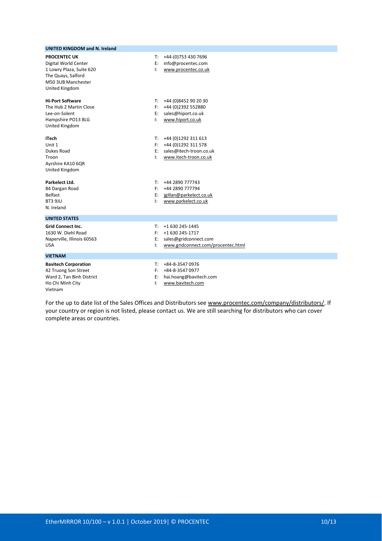| <b>UNITED KINGDOM and N. Ireland</b>                                                                                                  |                      |                                                                                                   |
|---------------------------------------------------------------------------------------------------------------------------------------|----------------------|---------------------------------------------------------------------------------------------------|
| <b>PROCENTEC UK</b><br>Digital World Center<br>1 Lowry Plaza, Suite 620<br>The Quays, Salford<br>M50 3UB Manchester<br>United Kingdom | T:<br>E:<br>Ŀ.       | +44-(0)753 430 7696<br>info@procentec.com<br>www.procentec.co.uk                                  |
| <b>Hi-Port Software</b><br>The Hub 2 Martin Close<br>Lee-on-Solent<br>Hampshire PO13 8LG<br>United Kingdom                            | T:<br>E:<br>Ŀ.       | +44 (0)8452 90 20 30<br>F: +44 (0)2392 552880<br>sales@hiport.co.uk<br>www.hiport.co.uk           |
| <b>iTech</b><br>Unit 1<br>Dukes Road<br>Troon<br>Ayrshire KA10 6QR<br>United Kingdom                                                  | T:<br>F:<br>E:<br>Ŀ. | +44 (0)1292 311 613<br>+44 (0)1292 311 578<br>sales@itech-troon.co.uk<br>www.itech-troon.co.uk    |
| Parkelect Ltd.<br>84 Dargan Road<br><b>Belfast</b><br>BT3 9JU<br>N. Ireland                                                           | T:<br>F:<br>E:<br>I: | +44 2890 777743<br>+44 2890 777794<br>jgillan@parkelect.co.uk<br>www.parkelect.co.uk              |
| <b>UNITED STATES</b>                                                                                                                  |                      |                                                                                                   |
| <b>Grid Connect Inc.</b><br>1630 W. Diehl Road<br>Naperville, Illinois 60563<br><b>USA</b>                                            | T:<br>F:<br>E:<br>I: | +1 630 245-1445<br>+1 630 245-1717<br>sales@gridconnect.com<br>www.gridconnect.com/procentec.html |
| <b>VIETNAM</b>                                                                                                                        |                      |                                                                                                   |
| <b>Bavitech Corporation</b><br>42 Truong Son Street<br>Ward 2, Tan Binh District<br>Ho Chi Minh City<br>Vietnam                       | T:<br>E:<br>I:       | +84-8-3547 0976<br>$F: +84-8-35470977$<br>hai.hoang@bavitech.com<br>www.bavitech.com              |

For the up to date list of the Sales Offices and Distributors see [www.procentec.com/company/distributors/.](http://www.procentec.com/company/distributors/) If your country or region is not listed, please contact us. We are still searching for distributors who can cover complete areas or countries.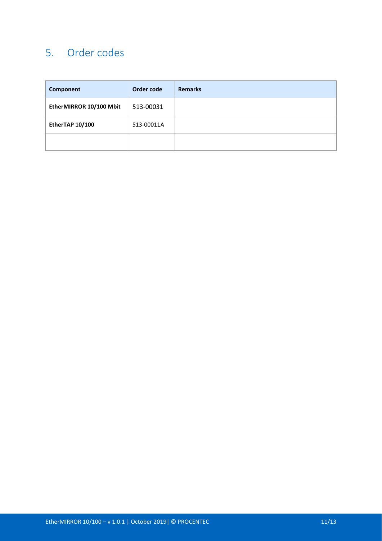# 5. Order codes

| Component               | Order code | <b>Remarks</b> |
|-------------------------|------------|----------------|
| EtherMIRROR 10/100 Mbit | 513-00031  |                |
| EtherTAP 10/100         | 513-00011A |                |
|                         |            |                |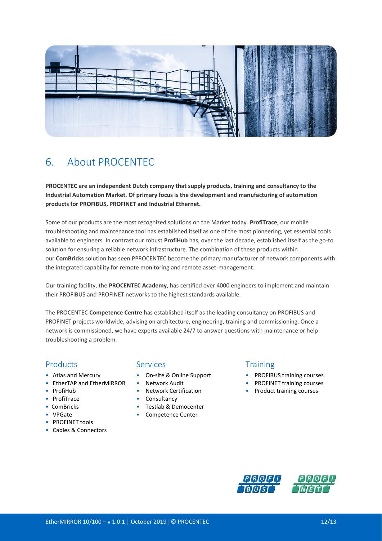

# 6. About PROCENTEC

**PROCENTEC are an independent Dutch company that supply products, training and consultancy to the Industrial Automation Market. Of primary focus is the development and manufacturing of automation products for PROFIBUS, PROFINET and Industrial Ethernet.**

Some of our products are the most recognized solutions on the Market today. **ProfiTrace**, our mobile troubleshooting and maintenance tool has established itself as one of the most pioneering, yet essential tools available to engineers. In contrast our robust **ProfiHub** has, over the last decade, established itself as the go-to solution for ensuring a reliable network infrastructure. The combination of these products within our **ComBricks** solution has seen PPROCENTEC become the primary manufacturer of network components with the integrated capability for remote monitoring and remote asset-management.

Our training facility, the **PROCENTEC Academy**, has certified over 4000 engineers to implement and maintain their PROFIBUS and PROFINET networks to the highest standards available.

The PROCENTEC **Competence Centre** has established itself as the leading consultancy on PROFIBUS and PROFINET projects worldwide, advising on architecture, engineering, training and commissioning. Once a network is commissioned, we have experts available 24/7 to answer questions with maintenance or help troubleshooting a problem.

### Products Services Services Training

- 
- EtherTAP and EtherMIRROR Network Audit PROFINET training courses
- 
- 
- 
- 
- PROFINET tools
- Cables & Connectors

- 
- 
- 
- ProfiTrace Consultancy
- ComBricks Testlab & Democenter
- VPGate Competence Center

- Atlas and Mercury On-site & Online Support PROFIBUS training courses
	-
- ProfiHub Network Certification Product training courses